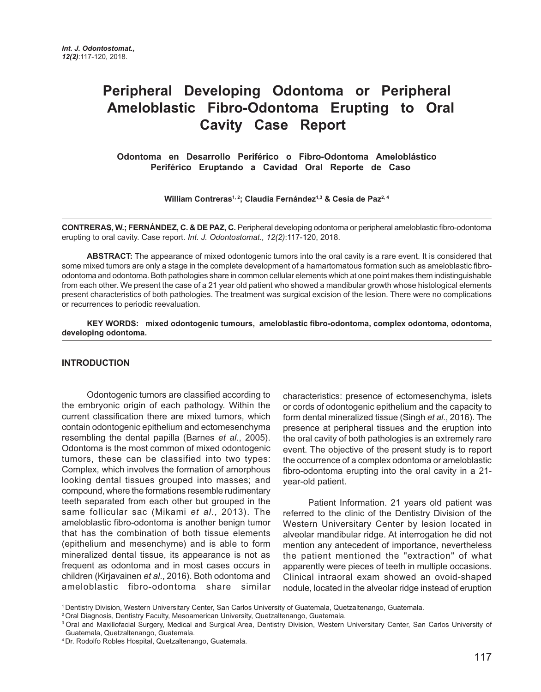# **Peripheral Developing Odontoma or Peripheral Ameloblastic Fibro-Odontoma Erupting to Oral Cavity Case Report**

**Odontoma en Desarrollo Periférico o Fibro-Odontoma Ameloblástico Periférico Eruptando a Cavidad Oral Reporte de Caso** 

William Contreras<sup>1, 2</sup>; Claudia Fernández<sup>1,3</sup> & Cesia de Paz<sup>2, 4</sup>

**CONTRERAS, W.; FERNÁNDEZ, C. & DE PAZ, C.** Peripheral developing odontoma or peripheral ameloblastic fibro-odontoma erupting to oral cavity. Case report. *Int. J. Odontostomat., 12(2)*:117-120, 2018.

**ABSTRACT:** The appearance of mixed odontogenic tumors into the oral cavity is a rare event. It is considered that some mixed tumors are only a stage in the complete development of a hamartomatous formation such as ameloblastic fibroodontoma and odontoma. Both pathologies share in common cellular elements which at one point makes them indistinguishable from each other. We present the case of a 21 year old patient who showed a mandibular growth whose histological elements present characteristics of both pathologies. The treatment was surgical excision of the lesion. There were no complications or recurrences to periodic reevaluation.

**KEY WORDS: mixed odontogenic tumours, ameloblastic fibro-odontoma, complex odontoma, odontoma, developing odontoma.**

#### **INTRODUCTION**

Odontogenic tumors are classified according to the embryonic origin of each pathology. Within the current classification there are mixed tumors, which contain odontogenic epithelium and ectomesenchyma resembling the dental papilla (Barnes *et al*., 2005). Odontoma is the most common of mixed odontogenic tumors, these can be classified into two types: Complex, which involves the formation of amorphous looking dental tissues grouped into masses; and compound, where the formations resemble rudimentary teeth separated from each other but grouped in the same follicular sac (Mikami *et al*., 2013). The ameloblastic fibro-odontoma is another benign tumor that has the combination of both tissue elements (epithelium and mesenchyme) and is able to form mineralized dental tissue, its appearance is not as frequent as odontoma and in most cases occurs in children (Kirjavainen *et al*., 2016). Both odontoma and ameloblastic fibro-odontoma share similar characteristics: presence of ectomesenchyma, islets or cords of odontogenic epithelium and the capacity to form dental mineralized tissue (Singh *et al*., 2016). The presence at peripheral tissues and the eruption into the oral cavity of both pathologies is an extremely rare event. The objective of the present study is to report the occurrence of a complex odontoma or ameloblastic fibro-odontoma erupting into the oral cavity in a 21 year-old patient.

Patient Information. 21 years old patient was referred to the clinic of the Dentistry Division of the Western Universitary Center by lesion located in alveolar mandibular ridge. At interrogation he did not mention any antecedent of importance, nevertheless the patient mentioned the "extraction" of what apparently were pieces of teeth in multiple occasions. Clinical intraoral exam showed an ovoid-shaped nodule, located in the alveolar ridge instead of eruption

<sup>1</sup> Dentistry Division, Western Universitary Center, San Carlos University of Guatemala, Quetzaltenango, Guatemala.

<sup>2</sup> Oral Diagnosis, Dentistry Faculty, Mesoamerican University, Quetzaltenango, Guatemala.

<sup>&</sup>lt;sup>3</sup> Oral and Maxillofacial Surgery, Medical and Surgical Area, Dentistry Division, Western Universitary Center, San Carlos University of Guatemala, Quetzaltenango, Guatemala.

<sup>4</sup> Dr. Rodolfo Robles Hospital, Quetzaltenango, Guatemala.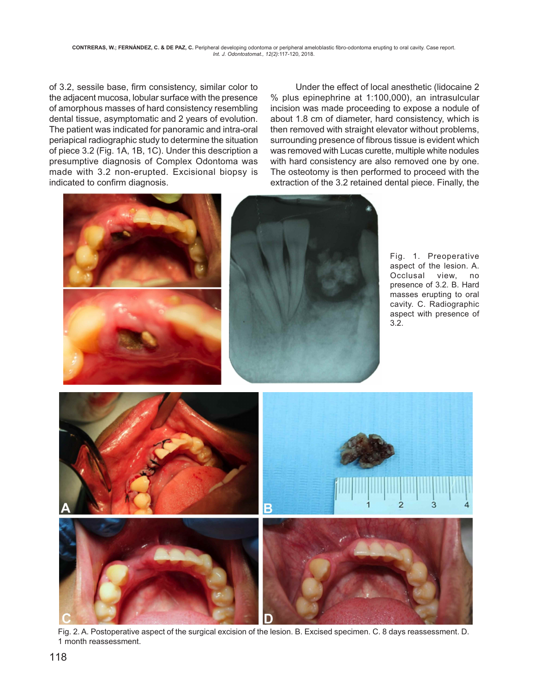of 3.2, sessile base, firm consistency, similar color to the adjacent mucosa, lobular surface with the presence of amorphous masses of hard consistency resembling dental tissue, asymptomatic and 2 years of evolution. The patient was indicated for panoramic and intra-oral periapical radiographic study to determine the situation of piece 3.2 (Fig. 1A, 1B, 1C). Under this description a presumptive diagnosis of Complex Odontoma was made with 3.2 non-erupted. Excisional biopsy is indicated to confirm diagnosis.

Under the effect of local anesthetic (lidocaine 2 % plus epinephrine at 1:100,000), an intrasulcular incision was made proceeding to expose a nodule of about 1.8 cm of diameter, hard consistency, which is then removed with straight elevator without problems, surrounding presence of fibrous tissue is evident which was removed with Lucas curette, multiple white nodules with hard consistency are also removed one by one. The osteotomy is then performed to proceed with the extraction of the 3.2 retained dental piece. Finally, the



Fig. 1. Preoperative aspect of the lesion. A. Occlusal view, no presence of 3.2. B. Hard masses erupting to oral cavity. C. Radiographic aspect with presence of 3.2.



Fig. 2. A. Postoperative aspect of the surgical excision of the lesion. B. Excised specimen. C. 8 days reassessment. D. 1 month reassessment.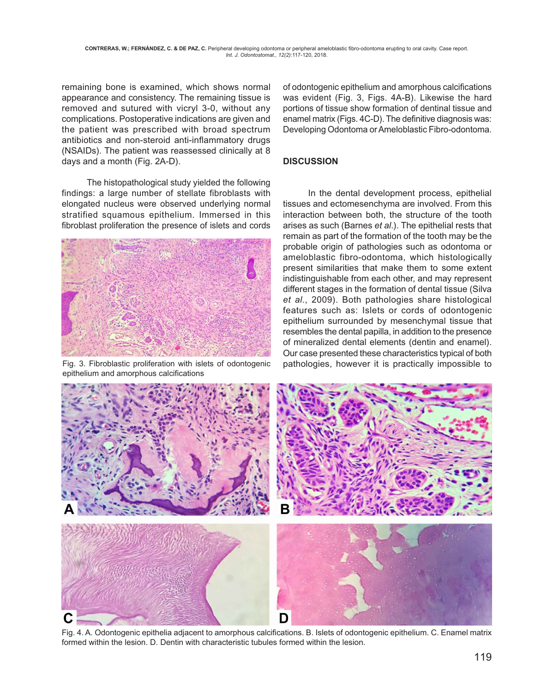remaining bone is examined, which shows normal appearance and consistency. The remaining tissue is removed and sutured with vicryl 3-0, without any complications. Postoperative indications are given and the patient was prescribed with broad spectrum antibiotics and non-steroid anti-inflammatory drugs (NSAIDs). The patient was reassessed clinically at 8 days and a month (Fig. 2A-D).

The histopathological study yielded the following findings: a large number of stellate fibroblasts with elongated nucleus were observed underlying normal stratified squamous epithelium. Immersed in this fibroblast proliferation the presence of islets and cords



epithelium and amorphous calcifications

of odontogenic epithelium and amorphous calcifications was evident (Fig. 3, Figs. 4A-B). Likewise the hard portions of tissue show formation of dentinal tissue and enamel matrix (Figs. 4C-D). The definitive diagnosis was: Developing Odontoma or Ameloblastic Fibro-odontoma.

### **DISCUSSION**

In the dental development process, epithelial tissues and ectomesenchyma are involved. From this interaction between both, the structure of the tooth arises as such (Barnes *et al*.). The epithelial rests that remain as part of the formation of the tooth may be the probable origin of pathologies such as odontoma or ameloblastic fibro-odontoma, which histologically present similarities that make them to some extent indistinguishable from each other, and may represent different stages in the formation of dental tissue (Silva *et al*., 2009). Both pathologies share histological features such as: Islets or cords of odontogenic epithelium surrounded by mesenchymal tissue that resembles the dental papilla, in addition to the presence of mineralized dental elements (dentin and enamel). Our case presented these characteristics typical of both Fig. 3. Fibroblastic proliferation with islets of odontogenic pathologies, however it is practically impossible to



Fig. 4. A. Odontogenic epithelia adjacent to amorphous calcifications. B. Islets of odontogenic epithelium. C. Enamel matrix formed within the lesion. D. Dentin with characteristic tubules formed within the lesion.